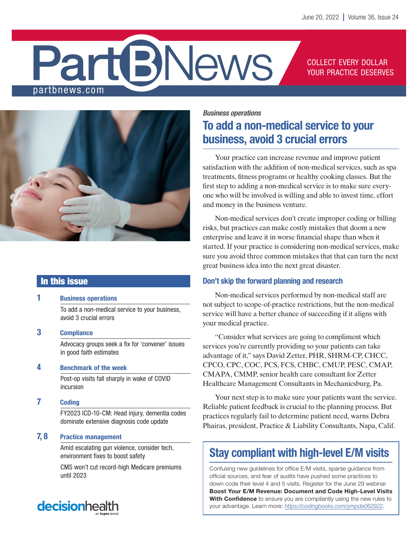# **BNews** partbnews.com

### COLLECT EVERY DOLLAR YOUR PRACTICE DESERVES



### In this issue

### 1 Business operations

To add a non-medical service to your business, avoid 3 crucial errors

3 Compliance

Advocacy groups seek a fix for 'convener' issues in good faith estimates

### 4 Benchmark of the week

Post-op visits fall sharply in wake of COVID incursion

7 Coding

FY2023 ICD-10-CM: Head injury, dementia codes dominate extensive diagnosis code update

### 7, 8 Practice management

Amid escalating gun violence, consider tech, environment fixes to boost safety

CMS won't cut record-high Medicare premiums until 2023

*Business operations*

# To add a non-medical service to your business, avoid 3 crucial errors

Your practice can increase revenue and improve patient satisfaction with the addition of non-medical services, such as spa treatments, fitness programs or healthy cooking classes. But the first step to adding a non-medical service is to make sure everyone who will be involved is willing and able to invest time, effort and money in the business venture.

Non-medical services don't create improper coding or billing risks, but practices can make costly mistakes that doom a new enterprise and leave it in worse financial shape than when it started. If your practice is considering non-medical services, make sure you avoid three common mistakes that that can turn the next great business idea into the next great disaster.

### Don't skip the forward planning and research

Non-medical services performed by non-medical staff are not subject to scope-of-practice restrictions, but the non-medical service will have a better chance of succeeding if it aligns with your medical practice.

"Consider what services are going to compliment which services you're currently providing so your patients can take advantage of it," says David Zetter, PHR, SHRM-CP, CHCC, CPCO, CPC, COC, PCS, FCS, CHBC, CMUP, PESC, CMAP, CMAPA, CMMP, senior health care consultant for Zetter Healthcare Management Consultants in Mechanicsburg, Pa.

Your next step is to make sure your patients want the service. Reliable patient feedback is crucial to the planning process. But practices regularly fail to determine patient need, warns Debra Phairas, president, Practice & Liability Consultants, Napa, Calif.

# Stay compliant with high-level E/M visits

Confusing new guidelines for office E/M visits, sparse guidance from official sources, and fear of audits have pushed some practices to down code their level 4 and 5 visits. Register for the June 29 webinar Boost Your E/M Revenue: Document and Code High-Level Visits With Confidence to ensure you are compliantly using the new rules to your advantage. Learn more: *<https://codingbooks.com/ympda062922>*.

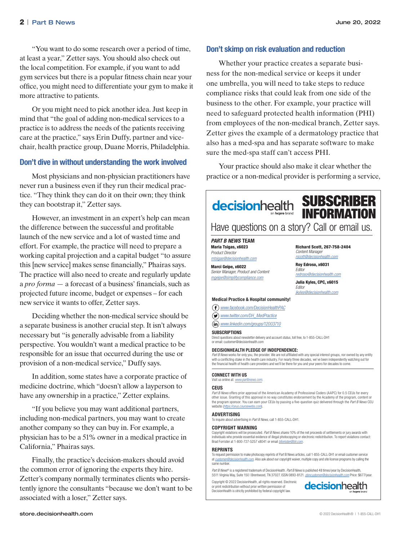"You want to do some research over a period of time, at least a year," Zetter says. You should also check out the local competition. For example, if you want to add gym services but there is a popular fitness chain near your office, you might need to differentiate your gym to make it more attractive to patients.

Or you might need to pick another idea. Just keep in mind that "the goal of adding non-medical services to a practice is to address the needs of the patients receiving care at the practice," says Erin Duffy, partner and vicechair, health practice group, Duane Morris, Philadelphia.

### Don't dive in without understanding the work involved

Most physicians and non-physician practitioners have never run a business even if they run their medical practice. "They think they can do it on their own; they think they can bootstrap it," Zetter says.

However, an investment in an expert's help can mean the difference between the successful and profitable launch of the new service and a lot of wasted time and effort. For example, the practice will need to prepare a working capital projection and a capital budget "to assure this [new service] makes sense financially," Phairas says. The practice will also need to create and regularly update a *pro forma* — a forecast of a business' financials, such as projected future income, budget or expenses – for each new service it wants to offer, Zetter says.

Deciding whether the non-medical service should be a separate business is another crucial step. It isn't always necessary but "is generally advisable from a liability perspective. You wouldn't want a medical practice to be responsible for an issue that occurred during the use or provision of a non-medical service," Duffy says.

In addition, some states have a corporate practice of medicine doctrine, which "doesn't allow a layperson to have any ownership in a practice," Zetter explains.

"If you believe you may want additional partners, including non-medical partners, you may want to create another company so they can buy in. For example, a physician has to be a 51% owner in a medical practice in California," Phairas says.

Finally, the practice's decision-makers should avoid the common error of ignoring the experts they hire. Zetter's company normally terminates clients who persistently ignore the consultants "because we don't want to be associated with a loser," Zetter says.

### Don't skimp on risk evaluation and reduction

Whether your practice creates a separate business for the non-medical service or keeps it under one umbrella, you will need to take steps to reduce compliance risks that could leak from one side of the business to the other. For example, your practice will need to safeguard protected health information (PHI) from employees of the non-medical branch, Zetter says. Zetter gives the example of a dermatology practice that also has a med-spa and has separate software to make sure the med-spa staff can't access PHI.

Your practice should also make it clear whether the practice or a non-medical provider is performing a service,



Copyright © 2022 DecisionHealth, all rights reserved. Electronic or print redistribution without prior written permission of DecisionHealth is strictly prohibited by federal copyright law.

**decision**health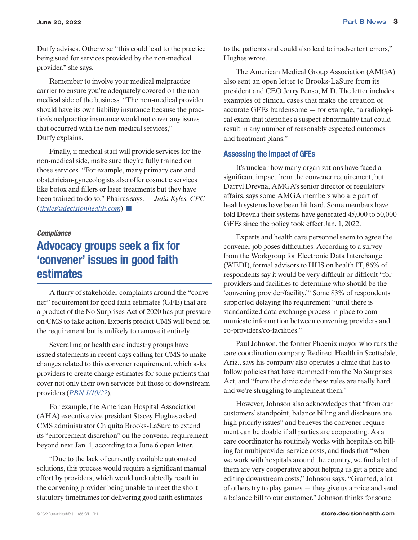Duffy advises. Otherwise "this could lead to the practice being sued for services provided by the non-medical provider," she says.

Remember to involve your medical malpractice carrier to ensure you're adequately covered on the nonmedical side of the business. "The non-medical provider should have its own liability insurance because the practice's malpractice insurance would not cover any issues that occurred with the non-medical services," Duffy explains.

Finally, if medical staff will provide services for the non-medical side, make sure they're fully trained on those services. "For example, many primary care and obstetrician-gynecologists also offer cosmetic services like botox and fillers or laser treatments but they have been trained to do so," Phairas says. — *Julia Kyles, CPC* (*jkyles@decisionhealth.com*) ■

### *Compliance*

### Advocacy groups seek a fix for 'convener' issues in good faith estimates

A flurry of stakeholder complaints around the "convener" requirement for good faith estimates (GFE) that are a product of the No Surprises Act of 2020 has put pressure on CMS to take action. Experts predict CMS will bend on the requirement but is unlikely to remove it entirely.

Several major health care industry groups have issued statements in recent days calling for CMS to make changes related to this convener requirement, which asks providers to create charge estimates for some patients that cover not only their own services but those of downstream providers (*[PBN 1/10/22](https://pbn.decisionhealth.com/Articles/Detail.aspx?id=534149)*).

For example, the American Hospital Association (AHA) executive vice president Stacey Hughes asked CMS administrator Chiquita Brooks-LaSure to extend its "enforcement discretion" on the convener requirement beyond next Jan. 1, according to a June 6 open letter.

"Due to the lack of currently available automated solutions, this process would require a significant manual effort by providers, which would undoubtedly result in the convening provider being unable to meet the short statutory timeframes for delivering good faith estimates

to the patients and could also lead to inadvertent errors," Hughes wrote.

The American Medical Group Association (AMGA) also sent an open letter to Brooks-LaSure from its president and CEO Jerry Penso, M.D. The letter includes examples of clinical cases that make the creation of accurate GFEs burdensome — for example, "a radiological exam that identifies a suspect abnormality that could result in any number of reasonably expected outcomes and treatment plans."

### Assessing the impact of GFEs

It's unclear how many organizations have faced a significant impact from the convener requirement, but Darryl Drevna, AMGA's senior director of regulatory affairs, says some AMGA members who are part of health systems have been hit hard. Some members have told Drevna their systems have generated 45,000 to 50,000 GFEs since the policy took effect Jan. 1, 2022.

Experts and health care personnel seem to agree the convener job poses difficulties. According to a survey from the Workgroup for Electronic Data Interchange (WEDI), formal advisors to HHS on health IT, 86% of respondents say it would be very difficult or difficult "for providers and facilities to determine who should be the 'convening provider/facility.'" Some 83% of respondents supported delaying the requirement "until there is standardized data exchange process in place to communicate information between convening providers and co-providers/co-facilities."

Paul Johnson, the former Phoenix mayor who runs the care coordination company Redirect Health in Scottsdale, Ariz., says his company also operates a clinic that has to follow policies that have stemmed from the No Surprises Act, and "from the clinic side these rules are really hard and we're struggling to implement them."

However, Johnson also acknowledges that "from our customers' standpoint, balance billing and disclosure are high priority issues" and believes the convener requirement can be doable if all parties are cooperating. As a care coordinator he routinely works with hospitals on billing for multiprovider service costs, and finds that "when we work with hospitals around the country, we find a lot of them are very cooperative about helping us get a price and editing downstream costs," Johnson says. "Granted, a lot of others try to play games — they give us a price and send a balance bill to our customer." Johnson thinks for some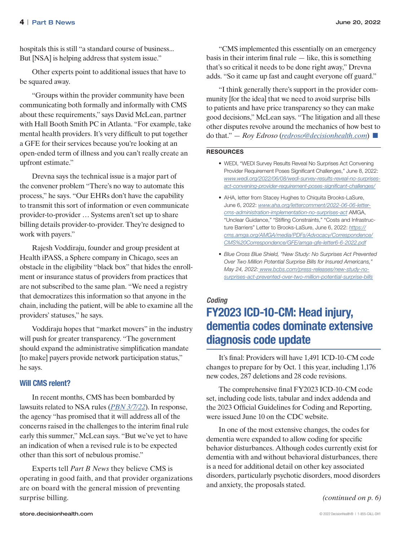hospitals this is still "a standard course of business... But [NSA] is helping address that system issue."

Other experts point to additional issues that have to be squared away.

"Groups within the provider community have been communicating both formally and informally with CMS about these requirements," says David McLean, partner with Hall Booth Smith PC in Atlanta. "For example, take mental health providers. It's very difficult to put together a GFE for their services because you're looking at an open-ended term of illness and you can't really create an upfront estimate."

Drevna says the technical issue is a major part of the convener problem "There's no way to automate this process," he says. "Our EHRs don't have the capability to transmit this sort of information or even communicate provider-to-provider … Systems aren't set up to share billing details provider-to-provider. They're designed to work with payers."

Rajesh Voddiraju, founder and group president at Health iPASS, a Sphere company in Chicago, sees an obstacle in the eligibility "black box" that hides the enrollment or insurance status of providers from practices that are not subscribed to the same plan. "We need a registry that democratizes this information so that anyone in the chain, including the patient, will be able to examine all the providers' statuses," he says.

Voddiraju hopes that "market movers" in the industry will push for greater transparency. "The government should expand the administrative simplification mandate [to make] payers provide network participation status," he says.

#### Will CMS relent?

In recent months, CMS has been bombarded by lawsuits related to NSA rules (*[PBN 3/7/22](https://pbn.decisionhealth.com/Articles/Detail.aspx?id=544388)*). In response, the agency "has promised that it will address all of the concerns raised in the challenges to the interim final rule early this summer," McLean says. "But we've yet to have an indication of when a revised rule is to be expected other than this sort of nebulous promise."

Experts tell *Part B News* they believe CMS is operating in good faith, and that provider organizations are on board with the general mission of preventing surprise billing.

"CMS implemented this essentially on an emergency basis in their interim final rule  $-$  like, this is something that's so critical it needs to be done right away," Drevna adds. "So it came up fast and caught everyone off guard."

"I think generally there's support in the provider community [for the idea] that we need to avoid surprise bills to patients and have price transparency so they can make good decisions," McLean says. "The litigation and all these other disputes revolve around the mechanics of how best to do that." — *Roy Edroso* (*redroso@decisionhealth.com*) ■

#### RESOURCES

- WEDI, "WEDI Survey Results Reveal No Surprises Act Convening Provider Requirement Poses Significant Challenges," June 8, 2022: *www.wedi.org/2022/06/08/wedi-survey-results-reveal-no-surprisesact-convening-provider-requirement-poses-significant-challenges/*
- AHA, letter from Stacey Hughes to Chiquita Brooks-LaSure, June 6, 2022: *www.aha.org/lettercomment/2022-06-06-lettercms-administration-implementation-no-surprises-act* AMGA, "Unclear Guidance," "Stifling Constraints," "Costs and Infrastructure Barriers" Letter to Brooks-LaSure, June 6, 2022: *[https://](https://cms.amga.org/AMGA/media/PDFs/Advocacy/Correspondence/CMS%20Correspondence/GFE/amga-gfe-letter6-6-2022.pdf) [cms.amga.org/AMGA/media/PDFs/Advocacy/Correspondence/](https://cms.amga.org/AMGA/media/PDFs/Advocacy/Correspondence/CMS%20Correspondence/GFE/amga-gfe-letter6-6-2022.pdf) [CMS%20Correspondence/GFE/amga-gfe-letter6-6-2022.pdf](https://cms.amga.org/AMGA/media/PDFs/Advocacy/Correspondence/CMS%20Correspondence/GFE/amga-gfe-letter6-6-2022.pdf)*
- *• Blue Cross Blue Shield, "New Study: No Surprises Act Prevented Over Two Million Potential Surprise Bills for Insured Americans," May 24, 2022: www.bcbs.com/press-releases/new-study-nosurprises-act-prevented-over-two-million-potential-surprise-bills*

### *Coding* FY2023 ICD-10-CM: Head injury, dementia codes dominate extensive diagnosis code update

It's final: Providers will have 1,491 ICD-10-CM code changes to prepare for by Oct. 1 this year, including 1,176 new codes, 287 deletions and 28 code revisions.

The comprehensive final FY2023 ICD-10-CM code set, including code lists, tabular and index addenda and the 2023 Official Guidelines for Coding and Reporting, were issued June 10 on the CDC website.

In one of the most extensive changes, the codes for dementia were expanded to allow coding for specific behavior disturbances. Although codes currently exist for dementia with and without behavioral disturbances, there is a need for additional detail on other key associated disorders, particularly psychotic disorders, mood disorders and anxiety, the proposals stated.

*(continued on p. 6)*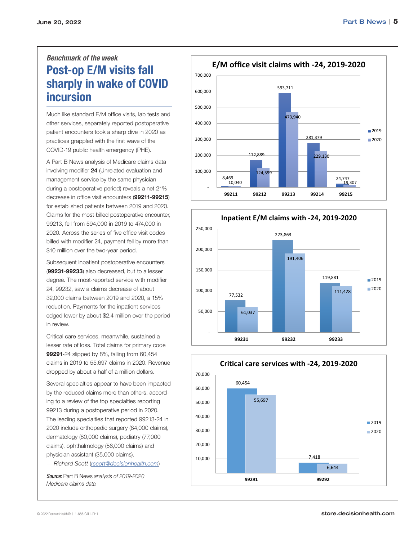### *Benchmark of the week* Post-op E/M visits fall sharply in wake of COVID incursion

Much like standard E/M office visits, lab tests and other services, separately reported postoperative patient encounters took a sharp dive in 2020 as practices grappled with the first wave of the COVID-19 public health emergency (PHE).

A Part B News analysis of Medicare claims data involving modifier 24 (Unrelated evaluation and management service by the same physician during a postoperative period) reveals a net 21% decrease in office visit encounters (99211-99215) for established patients between 2019 and 2020. Claims for the most-billed postoperative encounter, 99213, fell from 594,000 in 2019 to 474,000 in 2020. Across the series of five office visit codes billed with modifier 24, payment fell by more than \$10 million over the two-year period.

Subsequent inpatient postoperative encounters (99231-99233) also decreased, but to a lesser degree. The most-reported service with modifier 24, 99232, saw a claims decrease of about 32,000 claims between 2019 and 2020, a 15% reduction. Payments for the inpatient services edged lower by about \$2.4 million over the period in review.

Critical care services, meanwhile, sustained a lesser rate of loss. Total claims for primary code 99291-24 slipped by 8%, falling from 60,454 claims in 2019 to 55,697 claims in 2020. Revenue dropped by about a half of a million dollars.

Several specialties appear to have been impacted by the reduced claims more than others, according to a review of the top specialties reporting 99213 during a postoperative period in 2020. The leading specialties that reported 99213-24 in 2020 include orthopedic surgery (84,000 claims), dermatology (80,000 claims), podiatry (77,000 claims), ophthalmology (56,000 claims) and physician assistant (35,000 claims).

— *Richard Scott* (*rscott@decisionhealth.com*)

*Source:* Part B News *analysis of 2019-2020 Medicare claims data*







#### © 2022 DecisionHealth® | 1-855-CALL-DH1 [store.decisionhealth.com](http://store.decisionhealth.com)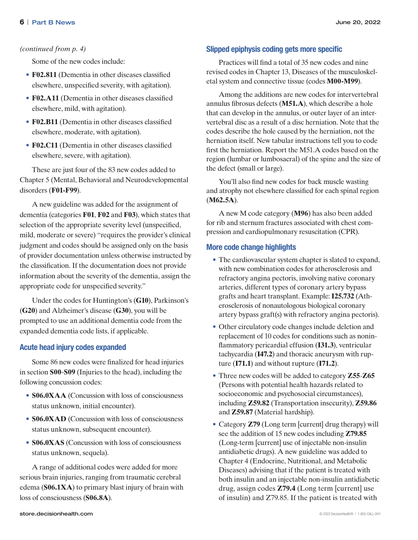#### *(continued from p. 4)*

Some of the new codes include:

- **F02.811** (Dementia in other diseases classified elsewhere, unspecified severity, with agitation).
- **F02.A11** (Dementia in other diseases classified elsewhere, mild, with agitation).
- **F02.B11** (Dementia in other diseases classified elsewhere, moderate, with agitation).
- **F02.C11** (Dementia in other diseases classified elsewhere, severe, with agitation).

These are just four of the 83 new codes added to Chapter 5 (Mental, Behavioral and Neurodevelopmental disorders (**F01-F99**).

A new guideline was added for the assignment of dementia (categories **F01**, **F02** and **F03**), which states that selection of the appropriate severity level (unspecified, mild, moderate or severe) "requires the provider's clinical judgment and codes should be assigned only on the basis of provider documentation unless otherwise instructed by the classification. If the documentation does not provide information about the severity of the dementia, assign the appropriate code for unspecified severity."

Under the codes for Huntington's (**G10**), Parkinson's (**G20**) and Alzheimer's disease (**G30**), you will be prompted to use an additional dementia code from the expanded dementia code lists, if applicable.

### Acute head injury codes expanded

Some 86 new codes were finalized for head injuries in section **S00**-**S09** (Injuries to the head), including the following concussion codes:

- **S06.0XAA** (Concussion with loss of consciousness status unknown, initial encounter).
- **S06.0XAD** (Concussion with loss of consciousness status unknown, subsequent encounter).
- **S06.0XAS** (Concussion with loss of consciousness status unknown, sequela).

A range of additional codes were added for more serious brain injuries, ranging from traumatic cerebral edema (**S06.1XA**) to primary blast injury of brain with loss of consciousness (**S06.8A**).

### Slipped epiphysis coding gets more specific

Practices will find a total of 35 new codes and nine revised codes in Chapter 13, Diseases of the musculoskeletal system and connective tissue (codes **M00-M99**).

Among the additions are new codes for intervertebral annulus fibrosus defects (**M51.A**), which describe a hole that can develop in the annulus, or outer layer of an intervertebral disc as a result of a disc herniation. Note that the codes describe the hole caused by the herniation, not the herniation itself. New tabular instructions tell you to code first the herniation. Report the M51.A codes based on the region (lumbar or lumbosacral) of the spine and the size of the defect (small or large).

You'll also find new codes for back muscle wasting and atrophy not elsewhere classified for each spinal region (**M62.5A**).

A new M code category (**M96**) has also been added for rib and sternum fractures associated with chest compression and cardiopulmonary resuscitation (CPR).

### More code change highlights

- The cardiovascular system chapter is slated to expand, with new combination codes for atherosclerosis and refractory angina pectoris, involving native coronary arteries, different types of coronary artery bypass grafts and heart transplant. Example: **I25.732** (Atherosclerosis of nonautologous biological coronary artery bypass graft(s) with refractory angina pectoris).
- Other circulatory code changes include deletion and replacement of 10 codes for conditions such as noninflammatory pericardial effusion (**I31.3**), ventricular tachycardia (**I47.2**) and thoracic aneurysm with rupture (**I71.1**) and without rupture (**I71.2**).
- Three new codes will be added to category **Z55**-**Z65** (Persons with potential health hazards related to socioeconomic and psychosocial circumstances), including **Z59.82** (Transportation insecurity), **Z59.86** and **Z59.87** (Material hardship).
- Category **Z79** (Long term [current] drug therapy) will see the addition of 15 new codes including **Z79.85** (Long-term [current] use of injectable non-insulin antidiabetic drugs). A new guideline was added to Chapter 4 (Endocrine, Nutritional, and Metabolic Diseases) advising that if the patient is treated with both insulin and an injectable non-insulin antidiabetic drug, assign codes **Z79.4** (Long term [current] use of insulin) and Z79.85. If the patient is treated with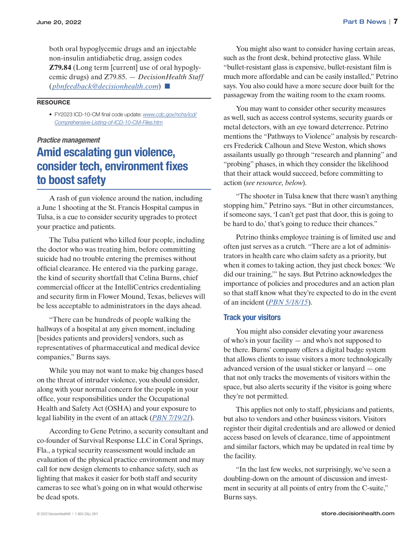both oral hypoglycemic drugs and an injectable non-insulin antidiabetic drug, assign codes **Z79.84** (Long term [current] use of oral hypoglycemic drugs) and Z79.85. — *DecisionHealth Staff*  (*pbnfeedback@decisionhealth.com*) ■

#### **RESOURCE**

• FY2023 ICD-10-CM final code update: *[www.cdc.gov/nchs/icd/](http://www.cdc.gov/nchs/icd/Comprehensive-Listing-of-ICD-10-CM-Files.htm) [Comprehensive-Listing-of-ICD-10-CM-Files.htm](http://www.cdc.gov/nchs/icd/Comprehensive-Listing-of-ICD-10-CM-Files.htm)*

#### *Practice management*

### Amid escalating gun violence, consider tech, environment fixes to boost safety

A rash of gun violence around the nation, including a June 1 shooting at the St. Francis Hospital campus in Tulsa, is a cue to consider security upgrades to protect your practice and patients.

The Tulsa patient who killed four people, including the doctor who was treating him, before committing suicide had no trouble entering the premises without official clearance. He entered via the parking garage, the kind of security shortfall that Celina Burns, chief commercial officer at the IntelliCentrics credentialing and security firm in Flower Mound, Texas, believes will be less acceptable to administrators in the days ahead.

"There can be hundreds of people walking the hallways of a hospital at any given moment, including [besides patients and providers] vendors, such as representatives of pharmaceutical and medical device companies," Burns says.

While you may not want to make big changes based on the threat of intruder violence, you should consider, along with your normal concern for the people in your office, your responsibilities under the Occupational Health and Safety Act (OSHA) and your exposure to legal liability in the event of an attack (*[PBN 7/19/21](https://pbn.decisionhealth.com/Articles/Detail.aspx?id=533440)*).

According to Gene Petrino, a security consultant and co-founder of Survival Response LLC in Coral Springs, Fla., a typical security reassessment would include an evaluation of the physical practice environment and may call for new design elements to enhance safety, such as lighting that makes it easier for both staff and security cameras to see what's going on in what would otherwise be dead spots.

You might also want to consider having certain areas, such as the front desk, behind protective glass. While "bullet-resistant glass is expensive, bullet-resistant film is much more affordable and can be easily installed," Petrino says. You also could have a more secure door built for the passageway from the waiting room to the exam rooms.

You may want to consider other security measures as well, such as access control systems, security guards or metal detectors, with an eye toward deterrence. Petrino mentions the "Pathways to Violence" analysis by researchers Frederick Calhoun and Steve Weston, which shows assailants usually go through "research and planning" and "probing" phases, in which they consider the likelihood that their attack would succeed, before committing to action (*see resource, below*).

"The shooter in Tulsa knew that there wasn't anything stopping him," Petrino says. "But in other circumstances, if someone says, 'I can't get past that door, this is going to be hard to do,' that's going to reduce their chances."

Petrino thinks employee training is of limited use and often just serves as a crutch. "There are a lot of administrators in health care who claim safety as a priority, but when it comes to taking action, they just check boxes: 'We did our training,'" he says. But Petrino acknowledges the importance of policies and procedures and an action plan so that staff know what they're expected to do in the event of an incident (*[PBN 5/18/15](https://pbn.decisionhealth.com/Articles/Detail.aspx?id=519866)*).

### Track your visitors

You might also consider elevating your awareness of who's in your facility — and who's not supposed to be there. Burns' company offers a digital badge system that allows clients to issue visitors a more technologically advanced version of the usual sticker or lanyard — one that not only tracks the movements of visitors within the space, but also alerts security if the visitor is going where they're not permitted.

This applies not only to staff, physicians and patients, but also to vendors and other business visitors. Visitors register their digital credentials and are allowed or denied access based on levels of clearance, time of appointment and similar factors, which may be updated in real time by the facility.

"In the last few weeks, not surprisingly, we've seen a doubling-down on the amount of discussion and investment in security at all points of entry from the C-suite," Burns says.